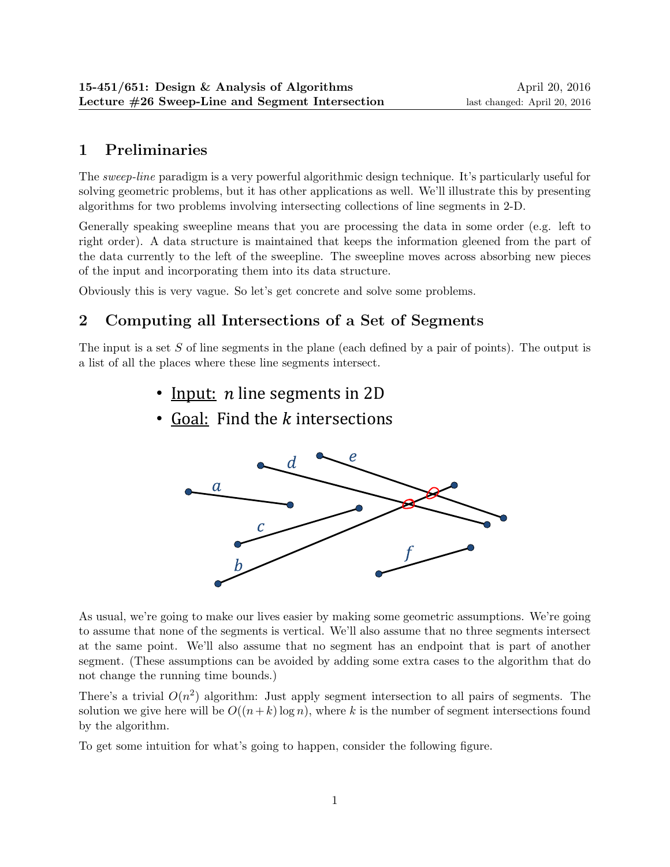## 1 Preliminaries

The sweep-line paradigm is a very powerful algorithmic design technique. It's particularly useful for solving geometric problems, but it has other applications as well. We'll illustrate this by presenting algorithms for two problems involving intersecting collections of line segments in 2-D.

Generally speaking sweepline means that you are processing the data in some order (e.g. left to right order). A data structure is maintained that keeps the information gleened from the part of the data currently to the left of the sweepline. The sweepline moves across absorbing new pieces of the input and incorporating them into its data structure.

Obviously this is very vague. So let's get concrete and solve some problems.

## 2 Computing all Intersections of a Set of Segments

The input is a set S of line segments in the plane (each defined by a pair of points). The output is a list of all the places where these line segments intersect. a list of all the places where these line segments intersect.

- Input: *n* line segments in 2D
- Goal: Find the k intersections



As usual, we're going to make our lives easier by making some geometric assumptions. We're going to assume that none of the segments is vertical. We'll also assume that no three segments intersect at the same point. We'll also assume that no segment has an endpoint that is part of another segment. (These assumptions can be avoided by adding some extra cases to the algorithm that do not change the running time bounds.)

There's a trivial  $O(n^2)$  algorithm: Just apply segment intersection to all pairs of segments. The solution we give here will be  $O((n+k)\log n)$ , where k is the number of segment intersections found by the algorithm.

To get some intuition for what's going to happen, consider the following figure.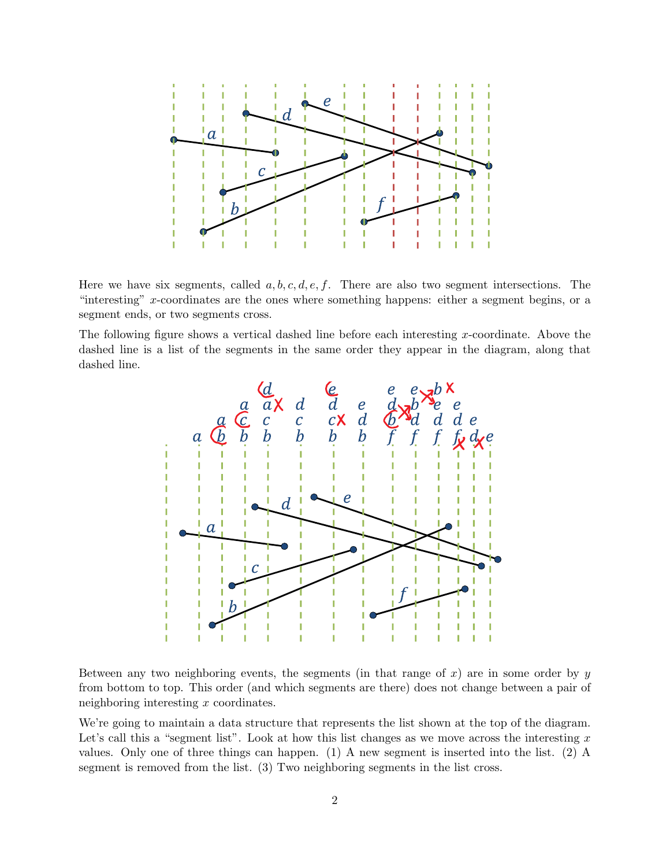

Here we have six segments, called  $a, b, c, d, e, f$ . There are also two segment intersections. The "interesting" x-coordinates are the ones where something happens: either a segment begins, or a segment ends, or two segments cross.

The following figure shows a vertical dashed line before each interesting x-coordinate. Above the dashed line is a list of the segments in the same order they appear in the diagram, along that dashed line.



Between any two neighboring events, the segments (in that range of  $x$ ) are in some order by  $y$ from bottom to top. This order (and which segments are there) does not change between a pair of neighboring interesting x coordinates.

We're going to maintain a data structure that represents the list shown at the top of the diagram. Let's call this a "segment list". Look at how this list changes as we move across the interesting  $x$ values. Only one of three things can happen. (1) A new segment is inserted into the list. (2) A segment is removed from the list. (3) Two neighboring segments in the list cross.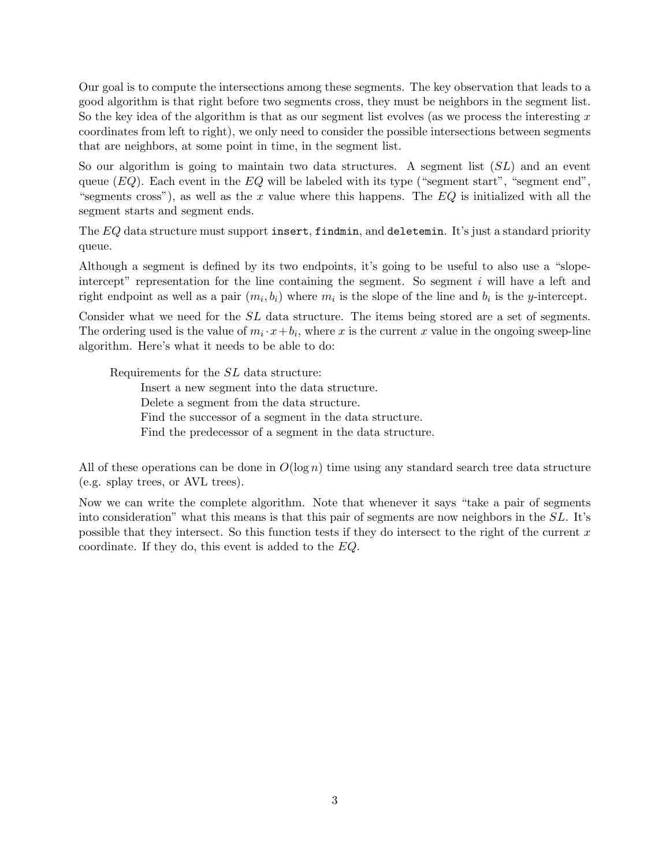Our goal is to compute the intersections among these segments. The key observation that leads to a good algorithm is that right before two segments cross, they must be neighbors in the segment list. So the key idea of the algorithm is that as our segment list evolves (as we process the interesting  $x$ coordinates from left to right), we only need to consider the possible intersections between segments that are neighbors, at some point in time, in the segment list.

So our algorithm is going to maintain two data structures. A segment list  $(SL)$  and an event queue  $(EQ)$ . Each event in the  $EQ$  will be labeled with its type ("segment start", "segment end", "segments cross"), as well as the x value where this happens. The  $EQ$  is initialized with all the segment starts and segment ends.

The EQ data structure must support insert, findmin, and deletemin. It's just a standard priority queue.

Although a segment is defined by its two endpoints, it's going to be useful to also use a "slopeintercept" representation for the line containing the segment. So segment  $i$  will have a left and right endpoint as well as a pair  $(m_i, b_i)$  where  $m_i$  is the slope of the line and  $b_i$  is the y-intercept.

Consider what we need for the  $SL$  data structure. The items being stored are a set of segments. The ordering used is the value of  $m_i \cdot x + b_i$ , where x is the current x value in the ongoing sweep-line algorithm. Here's what it needs to be able to do:

Requirements for the SL data structure:

Insert a new segment into the data structure. Delete a segment from the data structure. Find the successor of a segment in the data structure. Find the predecessor of a segment in the data structure.

All of these operations can be done in  $O(\log n)$  time using any standard search tree data structure (e.g. splay trees, or AVL trees).

Now we can write the complete algorithm. Note that whenever it says "take a pair of segments into consideration" what this means is that this pair of segments are now neighbors in the SL. It's possible that they intersect. So this function tests if they do intersect to the right of the current  $x$ coordinate. If they do, this event is added to the EQ.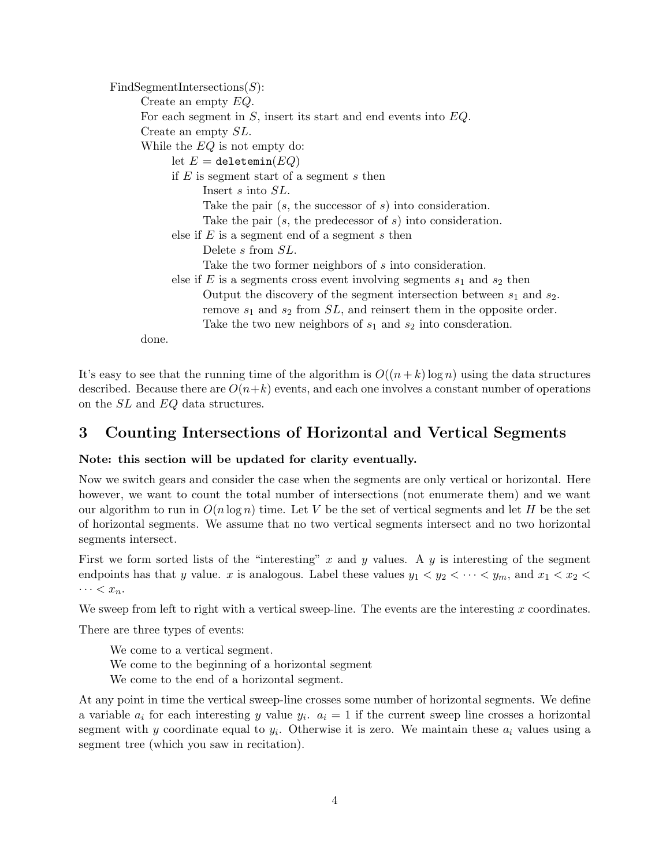$FindSegmentIntersection(S)$ : Create an empty EQ. For each segment in  $S$ , insert its start and end events into  $EQ$ . Create an empty SL. While the EQ is not empty do: let  $E =$  deletemin $(EQ)$ if  $E$  is segment start of a segment s then Insert s into SL. Take the pair  $(s, t)$  the successor of s into consideration. Take the pair  $(s, t)$  the predecessor of s into consideration. else if  $E$  is a segment end of a segment  $s$  then Delete s from SL. Take the two former neighbors of s into consideration. else if E is a segments cross event involving segments  $s_1$  and  $s_2$  then Output the discovery of the segment intersection between  $s_1$  and  $s_2$ . remove  $s_1$  and  $s_2$  from  $SL$ , and reinsert them in the opposite order. Take the two new neighbors of  $s_1$  and  $s_2$  into consderation.

done.

It's easy to see that the running time of the algorithm is  $O((n+k) \log n)$  using the data structures described. Because there are  $O(n+k)$  events, and each one involves a constant number of operations on the SL and EQ data structures.

## 3 Counting Intersections of Horizontal and Vertical Segments

## Note: this section will be updated for clarity eventually.

Now we switch gears and consider the case when the segments are only vertical or horizontal. Here however, we want to count the total number of intersections (not enumerate them) and we want our algorithm to run in  $O(n \log n)$  time. Let V be the set of vertical segments and let H be the set of horizontal segments. We assume that no two vertical segments intersect and no two horizontal segments intersect.

First we form sorted lists of the "interesting" x and y values. A y is interesting of the segment endpoints has that y value. x is analogous. Label these values  $y_1 < y_2 < \cdots < y_m$ , and  $x_1 < x_2 <$  $\cdots < x_n$ .

We sweep from left to right with a vertical sweep-line. The events are the interesting  $x$  coordinates.

There are three types of events:

We come to a vertical segment. We come to the beginning of a horizontal segment We come to the end of a horizontal segment.

At any point in time the vertical sweep-line crosses some number of horizontal segments. We define a variable  $a_i$  for each interesting y value  $y_i$ .  $a_i = 1$  if the current sweep line crosses a horizontal segment with y coordinate equal to  $y_i$ . Otherwise it is zero. We maintain these  $a_i$  values using a segment tree (which you saw in recitation).